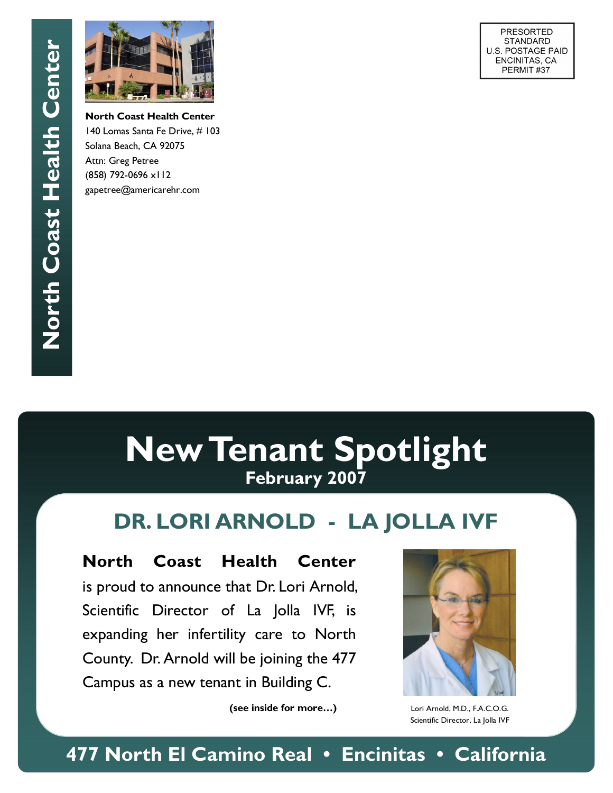

**North Coast Health Center**  140 Lomas Santa Fe Drive, # 103 Solana Beach, CA 92075 Attn: Greg Petree (858) 792-0696 x112 gapetree@americarehr.com

**PRESORTED STANDARD** U.S. POSTAGE PAID ENCINITAS, CA PERMIT#37

# **New Tenant Spotlight February 2007**

# **DR. LORI ARNOLD - LA JOLLA IVF**

**North Coast Health Center** is proud to announce that Dr. Lori Arnold, Scientific Director of La Jolla IVF, is expanding her infertility care to North County. Dr. Arnold will be joining the 477 Campus as a new tenant in Building C.

 **(see inside for more…)** 



Lori Arnold, M.D., F.A.C.O.G. Scientific Director, La Jolla IVF

**477 North El Camino Real • Encinitas • California**